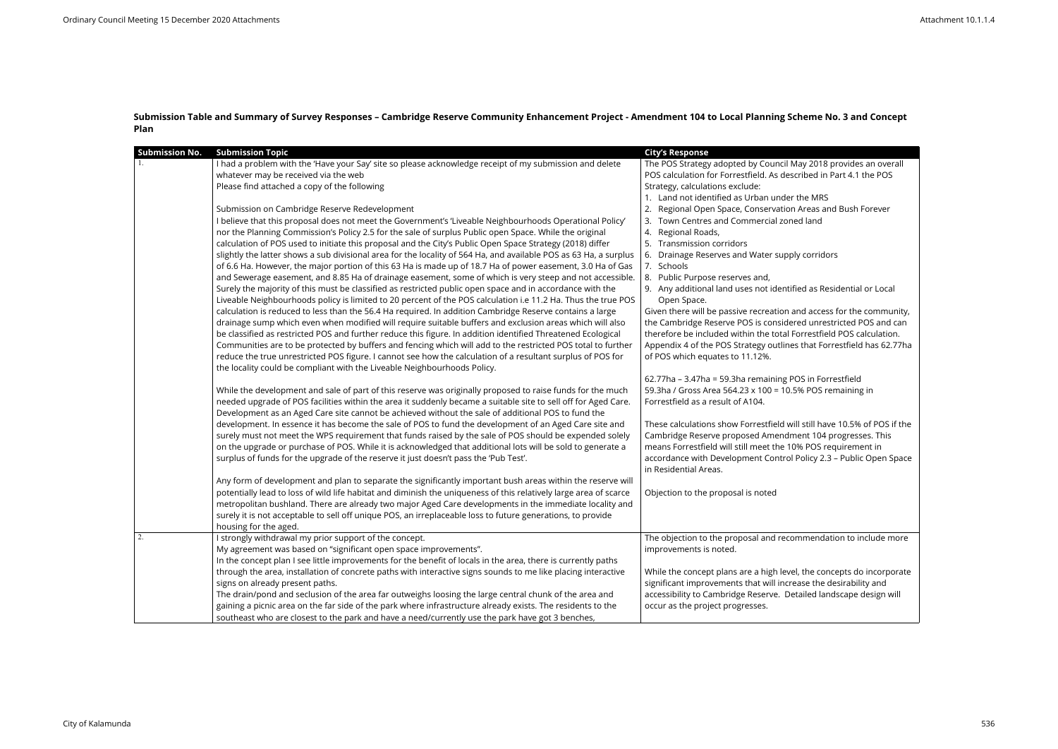## **Submission Table and Summary of Survey Responses – Cambridge Reserve Community Enhancement Project - Amendment 104 to Local Planning Scheme No. 3 and Concept Plan**

| <b>Submission No.</b> | <b>Submission Topic</b>                                                                                                                                                                                                                                                                                                                                                                                                                                                                                                                                                                                                                                                                                                                                                                                                                                                                                                                                                                                                                                                                                                                                                                                                                                                                                                                                                                                                                                                                                                                                                                                                                                                                                                                                                                                                                                                                                                                                                                                                                                                                                                                                                                                                                                                                                                                                                                                                                                                                                                                                                               |                                                                                                                                                                                                                                                                                                                                                                                                                                                                                                                                                                                                                                                                                                                                                                                                                                                                                                                                                                                                                                                                                                                                                                                                                                                                                                                                                                                                           |
|-----------------------|---------------------------------------------------------------------------------------------------------------------------------------------------------------------------------------------------------------------------------------------------------------------------------------------------------------------------------------------------------------------------------------------------------------------------------------------------------------------------------------------------------------------------------------------------------------------------------------------------------------------------------------------------------------------------------------------------------------------------------------------------------------------------------------------------------------------------------------------------------------------------------------------------------------------------------------------------------------------------------------------------------------------------------------------------------------------------------------------------------------------------------------------------------------------------------------------------------------------------------------------------------------------------------------------------------------------------------------------------------------------------------------------------------------------------------------------------------------------------------------------------------------------------------------------------------------------------------------------------------------------------------------------------------------------------------------------------------------------------------------------------------------------------------------------------------------------------------------------------------------------------------------------------------------------------------------------------------------------------------------------------------------------------------------------------------------------------------------------------------------------------------------------------------------------------------------------------------------------------------------------------------------------------------------------------------------------------------------------------------------------------------------------------------------------------------------------------------------------------------------------------------------------------------------------------------------------------------------|-----------------------------------------------------------------------------------------------------------------------------------------------------------------------------------------------------------------------------------------------------------------------------------------------------------------------------------------------------------------------------------------------------------------------------------------------------------------------------------------------------------------------------------------------------------------------------------------------------------------------------------------------------------------------------------------------------------------------------------------------------------------------------------------------------------------------------------------------------------------------------------------------------------------------------------------------------------------------------------------------------------------------------------------------------------------------------------------------------------------------------------------------------------------------------------------------------------------------------------------------------------------------------------------------------------------------------------------------------------------------------------------------------------|
|                       | I had a problem with the 'Have your Say' site so please acknowledge receipt of my submission and delete<br>whatever may be received via the web<br>Please find attached a copy of the following<br>Submission on Cambridge Reserve Redevelopment<br>I believe that this proposal does not meet the Government's 'Liveable Neighbourhoods Operational Policy'<br>nor the Planning Commission's Policy 2.5 for the sale of surplus Public open Space. While the original<br>calculation of POS used to initiate this proposal and the City's Public Open Space Strategy (2018) differ<br>slightly the latter shows a sub divisional area for the locality of 564 Ha, and available POS as 63 Ha, a surplus<br>of 6.6 Ha. However, the major portion of this 63 Ha is made up of 18.7 Ha of power easement, 3.0 Ha of Gas<br>and Sewerage easement, and 8.85 Ha of drainage easement, some of which is very steep and not accessible.<br>Surely the majority of this must be classified as restricted public open space and in accordance with the<br>Liveable Neighbourhoods policy is limited to 20 percent of the POS calculation i.e 11.2 Ha. Thus the true POS<br>calculation is reduced to less than the 56.4 Ha required. In addition Cambridge Reserve contains a large<br>drainage sump which even when modified will require suitable buffers and exclusion areas which will also<br>be classified as restricted POS and further reduce this figure. In addition identified Threatened Ecological<br>Communities are to be protected by buffers and fencing which will add to the restricted POS total to further<br>reduce the true unrestricted POS figure. I cannot see how the calculation of a resultant surplus of POS for<br>the locality could be compliant with the Liveable Neighbourhoods Policy.<br>While the development and sale of part of this reserve was originally proposed to raise funds for the much<br>needed upgrade of POS facilities within the area it suddenly became a suitable site to sell off for Aged Care.<br>Development as an Aged Care site cannot be achieved without the sale of additional POS to fund the<br>development. In essence it has become the sale of POS to fund the development of an Aged Care site and<br>surely must not meet the WPS requirement that funds raised by the sale of POS should be expended solely<br>on the upgrade or purchase of POS. While it is acknowledged that additional lots will be sold to generate a<br>surplus of funds for the upgrade of the reserve it just doesn't pass the 'Pub Test'. | <b>City's Response</b><br>The POS Strategy adopted by Council May 2018 provides an overall<br>POS calculation for Forrestfield. As described in Part 4.1 the POS<br>Strategy, calculations exclude:<br>1. Land not identified as Urban under the MRS<br>Regional Open Space, Conservation Areas and Bush Forever<br>Town Centres and Commercial zoned land<br>Regional Roads,<br>4.<br>Transmission corridors<br>Drainage Reserves and Water supply corridors<br>7. Schools<br>8. Public Purpose reserves and,<br>9. Any additional land uses not identified as Residential or Local<br>Open Space.<br>Given there will be passive recreation and access for the community,<br>the Cambridge Reserve POS is considered unrestricted POS and can<br>therefore be included within the total Forrestfield POS calculation.<br>Appendix 4 of the POS Strategy outlines that Forrestfield has 62.77ha<br>of POS which equates to 11.12%.<br>62.77ha - 3.47ha = 59.3ha remaining POS in Forrestfield<br>59.3ha / Gross Area 564.23 x 100 = 10.5% POS remaining in<br>Forrestfield as a result of A104.<br>These calculations show Forrestfield will still have 10.5% of POS if the<br>Cambridge Reserve proposed Amendment 104 progresses. This<br>means Forrestfield will still meet the 10% POS requirement in<br>accordance with Development Control Policy 2.3 - Public Open Space<br>in Residential Areas. |
|                       | Any form of development and plan to separate the significantly important bush areas within the reserve will<br>potentially lead to loss of wild life habitat and diminish the uniqueness of this relatively large area of scarce<br>metropolitan bushland. There are already two major Aged Care developments in the immediate locality and<br>surely it is not acceptable to sell off unique POS, an irreplaceable loss to future generations, to provide<br>housing for the aged.                                                                                                                                                                                                                                                                                                                                                                                                                                                                                                                                                                                                                                                                                                                                                                                                                                                                                                                                                                                                                                                                                                                                                                                                                                                                                                                                                                                                                                                                                                                                                                                                                                                                                                                                                                                                                                                                                                                                                                                                                                                                                                   | Objection to the proposal is noted                                                                                                                                                                                                                                                                                                                                                                                                                                                                                                                                                                                                                                                                                                                                                                                                                                                                                                                                                                                                                                                                                                                                                                                                                                                                                                                                                                        |
| 2.                    | I strongly withdrawal my prior support of the concept.<br>My agreement was based on "significant open space improvements".<br>In the concept plan I see little improvements for the benefit of locals in the area, there is currently paths<br>through the area, installation of concrete paths with interactive signs sounds to me like placing interactive<br>signs on already present paths.<br>The drain/pond and seclusion of the area far outweighs loosing the large central chunk of the area and<br>gaining a picnic area on the far side of the park where infrastructure already exists. The residents to the<br>southeast who are closest to the park and have a need/currently use the park have got 3 benches,                                                                                                                                                                                                                                                                                                                                                                                                                                                                                                                                                                                                                                                                                                                                                                                                                                                                                                                                                                                                                                                                                                                                                                                                                                                                                                                                                                                                                                                                                                                                                                                                                                                                                                                                                                                                                                                          | The objection to the proposal and recommendation to include more<br>improvements is noted.<br>While the concept plans are a high level, the concepts do incorporate<br>significant improvements that will increase the desirability and<br>accessibility to Cambridge Reserve. Detailed landscape design will<br>occur as the project progresses.                                                                                                                                                                                                                                                                                                                                                                                                                                                                                                                                                                                                                                                                                                                                                                                                                                                                                                                                                                                                                                                         |

| ay 2018 provides an overall<br>ribed in Part 4.1 the POS                                  |
|-------------------------------------------------------------------------------------------|
| he MRS<br>Areas and Bush Forever<br>d land                                                |
| corridors <sup>,</sup>                                                                    |
| ed as Residential or Local                                                                |
| d access for the community,<br>ed unrestricted POS and can<br>rrestfield POS calculation. |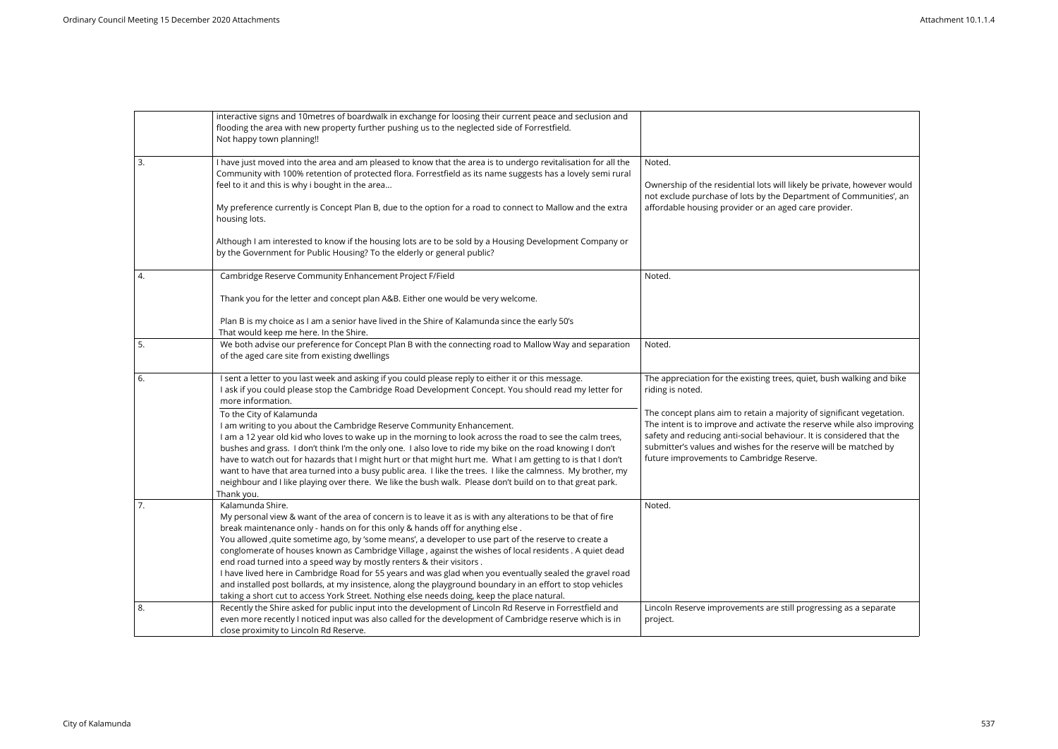|    | interactive signs and 10metres of boardwalk in exchange for loosing their current peace and seclusion and<br>flooding the area with new property further pushing us to the neglected side of Forrestfield.<br>Not happy town planning!!                                                                                                                                                                                                                                                                                                                                                                                                                                                                                                                                                                                                |                                                                                                                                                                                                                                                                                                                                          |
|----|----------------------------------------------------------------------------------------------------------------------------------------------------------------------------------------------------------------------------------------------------------------------------------------------------------------------------------------------------------------------------------------------------------------------------------------------------------------------------------------------------------------------------------------------------------------------------------------------------------------------------------------------------------------------------------------------------------------------------------------------------------------------------------------------------------------------------------------|------------------------------------------------------------------------------------------------------------------------------------------------------------------------------------------------------------------------------------------------------------------------------------------------------------------------------------------|
| 3. | I have just moved into the area and am pleased to know that the area is to undergo revitalisation for all the<br>Community with 100% retention of protected flora. Forrestfield as its name suggests has a lovely semi rural<br>feel to it and this is why i bought in the area<br>My preference currently is Concept Plan B, due to the option for a road to connect to Mallow and the extra<br>housing lots.                                                                                                                                                                                                                                                                                                                                                                                                                         | Noted.<br>Ownership of the residential lots will likely be private, however would<br>not exclude purchase of lots by the Department of Communities', an<br>affordable housing provider or an aged care provider.                                                                                                                         |
|    | Although I am interested to know if the housing lots are to be sold by a Housing Development Company or<br>by the Government for Public Housing? To the elderly or general public?                                                                                                                                                                                                                                                                                                                                                                                                                                                                                                                                                                                                                                                     |                                                                                                                                                                                                                                                                                                                                          |
| 4. | Cambridge Reserve Community Enhancement Project F/Field                                                                                                                                                                                                                                                                                                                                                                                                                                                                                                                                                                                                                                                                                                                                                                                | Noted.                                                                                                                                                                                                                                                                                                                                   |
|    | Thank you for the letter and concept plan A&B. Either one would be very welcome.                                                                                                                                                                                                                                                                                                                                                                                                                                                                                                                                                                                                                                                                                                                                                       |                                                                                                                                                                                                                                                                                                                                          |
|    | Plan B is my choice as I am a senior have lived in the Shire of Kalamunda since the early 50's<br>That would keep me here. In the Shire.                                                                                                                                                                                                                                                                                                                                                                                                                                                                                                                                                                                                                                                                                               |                                                                                                                                                                                                                                                                                                                                          |
| 5. | We both advise our preference for Concept Plan B with the connecting road to Mallow Way and separation<br>of the aged care site from existing dwellings                                                                                                                                                                                                                                                                                                                                                                                                                                                                                                                                                                                                                                                                                | Noted.                                                                                                                                                                                                                                                                                                                                   |
| 6. | I sent a letter to you last week and asking if you could please reply to either it or this message.<br>I ask if you could please stop the Cambridge Road Development Concept. You should read my letter for<br>more information.                                                                                                                                                                                                                                                                                                                                                                                                                                                                                                                                                                                                       | The appreciation for the existing trees, quiet, bush walking and bike<br>riding is noted.                                                                                                                                                                                                                                                |
|    | To the City of Kalamunda<br>I am writing to you about the Cambridge Reserve Community Enhancement.<br>I am a 12 year old kid who loves to wake up in the morning to look across the road to see the calm trees,<br>bushes and grass. I don't think I'm the only one. I also love to ride my bike on the road knowing I don't<br>have to watch out for hazards that I might hurt or that might hurt me. What I am getting to is that I don't<br>want to have that area turned into a busy public area. I like the trees. I like the calmness. My brother, my<br>neighbour and I like playing over there. We like the bush walk. Please don't build on to that great park.<br>Thank you.                                                                                                                                                 | The concept plans aim to retain a majority of significant vegetation.<br>The intent is to improve and activate the reserve while also improving<br>safety and reducing anti-social behaviour. It is considered that the<br>submitter's values and wishes for the reserve will be matched by<br>future improvements to Cambridge Reserve. |
| 7. | Kalamunda Shire.<br>My personal view & want of the area of concern is to leave it as is with any alterations to be that of fire<br>break maintenance only - hands on for this only & hands off for anything else.<br>You allowed , quite sometime ago, by 'some means', a developer to use part of the reserve to create a<br>conglomerate of houses known as Cambridge Village, against the wishes of local residents . A quiet dead<br>end road turned into a speed way by mostly renters & their visitors.<br>I have lived here in Cambridge Road for 55 years and was glad when you eventually sealed the gravel road<br>and installed post bollards, at my insistence, along the playground boundary in an effort to stop vehicles<br>taking a short cut to access York Street. Nothing else needs doing, keep the place natural. | Noted.                                                                                                                                                                                                                                                                                                                                   |
| 8. | Recently the Shire asked for public input into the development of Lincoln Rd Reserve in Forrestfield and<br>even more recently I noticed input was also called for the development of Cambridge reserve which is in<br>close proximity to Lincoln Rd Reserve.                                                                                                                                                                                                                                                                                                                                                                                                                                                                                                                                                                          | Lincoln Reserve improvements are still progressing as a separate<br>project.                                                                                                                                                                                                                                                             |

| kely be private, however would<br>partment of Communities', an<br>d care provider.                                                             |
|------------------------------------------------------------------------------------------------------------------------------------------------|
|                                                                                                                                                |
|                                                                                                                                                |
| , quiet, bush walking and bike                                                                                                                 |
| ority of significant vegetation.<br>he reserve while also improving<br>our. It is considered that the<br>reserve will be matched by<br>eserve. |
|                                                                                                                                                |
|                                                                                                                                                |
|                                                                                                                                                |
| I progressing as a separate                                                                                                                    |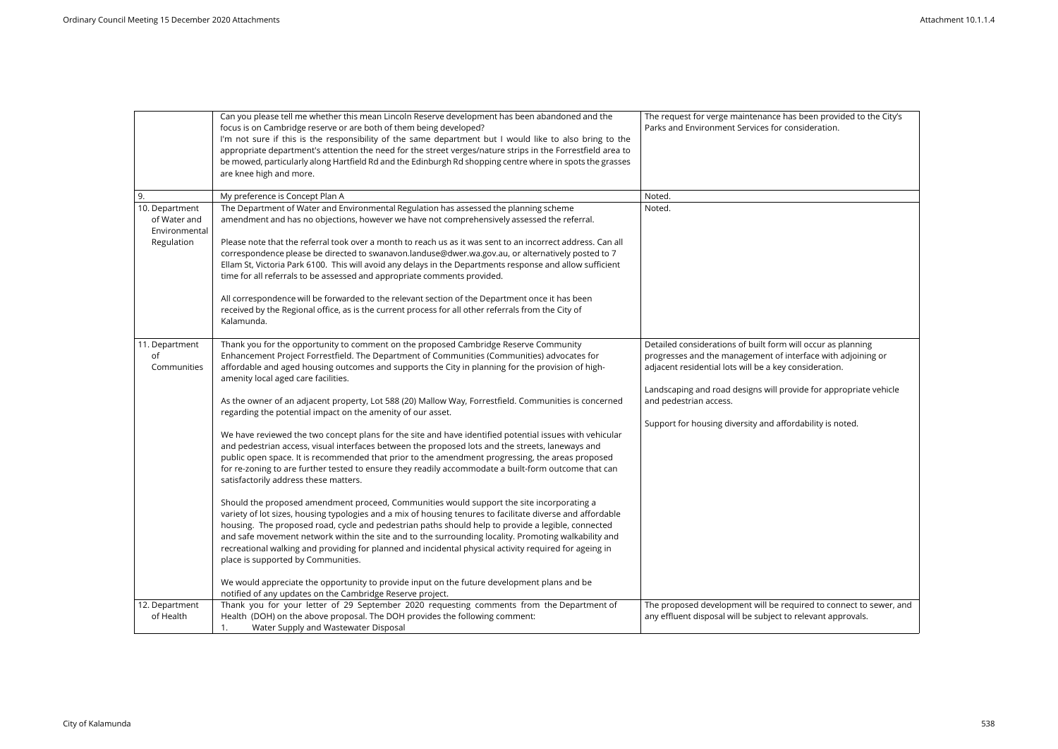|                                                               | Can you please tell me whether this mean Lincoln Reserve development has been abandoned and the<br>focus is on Cambridge reserve or are both of them being developed?<br>I'm not sure if this is the responsibility of the same department but I would like to also bring to the<br>appropriate department's attention the need for the street verges/nature strips in the Forrestfield area to<br>be mowed, particularly along Hartfield Rd and the Edinburgh Rd shopping centre where in spots the grasses<br>are knee high and more.                                                                                                                                                                                                                                                                                                                                                                                                                                                                                                                                                                                                                                                                                                                                                                                                                                                                                                                                                                                                                                                                                                                                                                          | The request for verge maintenance has been provided to the City's<br>Parks and Environment Services for consideration.                                                                                                                                                                                                                             |
|---------------------------------------------------------------|------------------------------------------------------------------------------------------------------------------------------------------------------------------------------------------------------------------------------------------------------------------------------------------------------------------------------------------------------------------------------------------------------------------------------------------------------------------------------------------------------------------------------------------------------------------------------------------------------------------------------------------------------------------------------------------------------------------------------------------------------------------------------------------------------------------------------------------------------------------------------------------------------------------------------------------------------------------------------------------------------------------------------------------------------------------------------------------------------------------------------------------------------------------------------------------------------------------------------------------------------------------------------------------------------------------------------------------------------------------------------------------------------------------------------------------------------------------------------------------------------------------------------------------------------------------------------------------------------------------------------------------------------------------------------------------------------------------|----------------------------------------------------------------------------------------------------------------------------------------------------------------------------------------------------------------------------------------------------------------------------------------------------------------------------------------------------|
| 9.                                                            | My preference is Concept Plan A                                                                                                                                                                                                                                                                                                                                                                                                                                                                                                                                                                                                                                                                                                                                                                                                                                                                                                                                                                                                                                                                                                                                                                                                                                                                                                                                                                                                                                                                                                                                                                                                                                                                                  | Noted.                                                                                                                                                                                                                                                                                                                                             |
| 10. Department<br>of Water and<br>Environmental<br>Regulation | The Department of Water and Environmental Regulation has assessed the planning scheme<br>amendment and has no objections, however we have not comprehensively assessed the referral.<br>Please note that the referral took over a month to reach us as it was sent to an incorrect address. Can all<br>correspondence please be directed to swanavon.landuse@dwer.wa.gov.au, or alternatively posted to 7<br>Ellam St, Victoria Park 6100. This will avoid any delays in the Departments response and allow sufficient<br>time for all referrals to be assessed and appropriate comments provided.<br>All correspondence will be forwarded to the relevant section of the Department once it has been<br>received by the Regional office, as is the current process for all other referrals from the City of<br>Kalamunda.                                                                                                                                                                                                                                                                                                                                                                                                                                                                                                                                                                                                                                                                                                                                                                                                                                                                                       | Noted.                                                                                                                                                                                                                                                                                                                                             |
| 11. Department<br>of<br>Communities                           | Thank you for the opportunity to comment on the proposed Cambridge Reserve Community<br>Enhancement Project Forrestfield. The Department of Communities (Communities) advocates for<br>affordable and aged housing outcomes and supports the City in planning for the provision of high-<br>amenity local aged care facilities.<br>As the owner of an adjacent property, Lot 588 (20) Mallow Way, Forrestfield. Communities is concerned<br>regarding the potential impact on the amenity of our asset.<br>We have reviewed the two concept plans for the site and have identified potential issues with vehicular<br>and pedestrian access, visual interfaces between the proposed lots and the streets, laneways and<br>public open space. It is recommended that prior to the amendment progressing, the areas proposed<br>for re-zoning to are further tested to ensure they readily accommodate a built-form outcome that can<br>satisfactorily address these matters.<br>Should the proposed amendment proceed, Communities would support the site incorporating a<br>variety of lot sizes, housing typologies and a mix of housing tenures to facilitate diverse and affordable<br>housing. The proposed road, cycle and pedestrian paths should help to provide a legible, connected<br>and safe movement network within the site and to the surrounding locality. Promoting walkability and<br>recreational walking and providing for planned and incidental physical activity required for ageing in<br>place is supported by Communities.<br>We would appreciate the opportunity to provide input on the future development plans and be<br>notified of any updates on the Cambridge Reserve project. | Detailed considerations of built form will occur as planning<br>progresses and the management of interface with adjoining or<br>adjacent residential lots will be a key consideration.<br>Landscaping and road designs will provide for appropriate vehicle<br>and pedestrian access.<br>Support for housing diversity and affordability is noted. |
| 12. Department<br>of Health                                   | Thank you for your letter of 29 September 2020 requesting comments from the Department of<br>Health (DOH) on the above proposal. The DOH provides the following comment:<br>Water Supply and Wastewater Disposal<br>1.                                                                                                                                                                                                                                                                                                                                                                                                                                                                                                                                                                                                                                                                                                                                                                                                                                                                                                                                                                                                                                                                                                                                                                                                                                                                                                                                                                                                                                                                                           | The proposed development will be required to connect to sewer, and<br>any effluent disposal will be subject to relevant approvals.                                                                                                                                                                                                                 |

| been provided to the City's<br>nsideration.           |
|-------------------------------------------------------|
|                                                       |
|                                                       |
|                                                       |
|                                                       |
|                                                       |
|                                                       |
| ill occur as planning                                 |
| erface with adjoining or<br>onsideration.             |
| vide for appropriate vehicle                          |
| dability is noted.                                    |
|                                                       |
|                                                       |
|                                                       |
|                                                       |
|                                                       |
| uired to connect to sewer, and<br>relevant approvals. |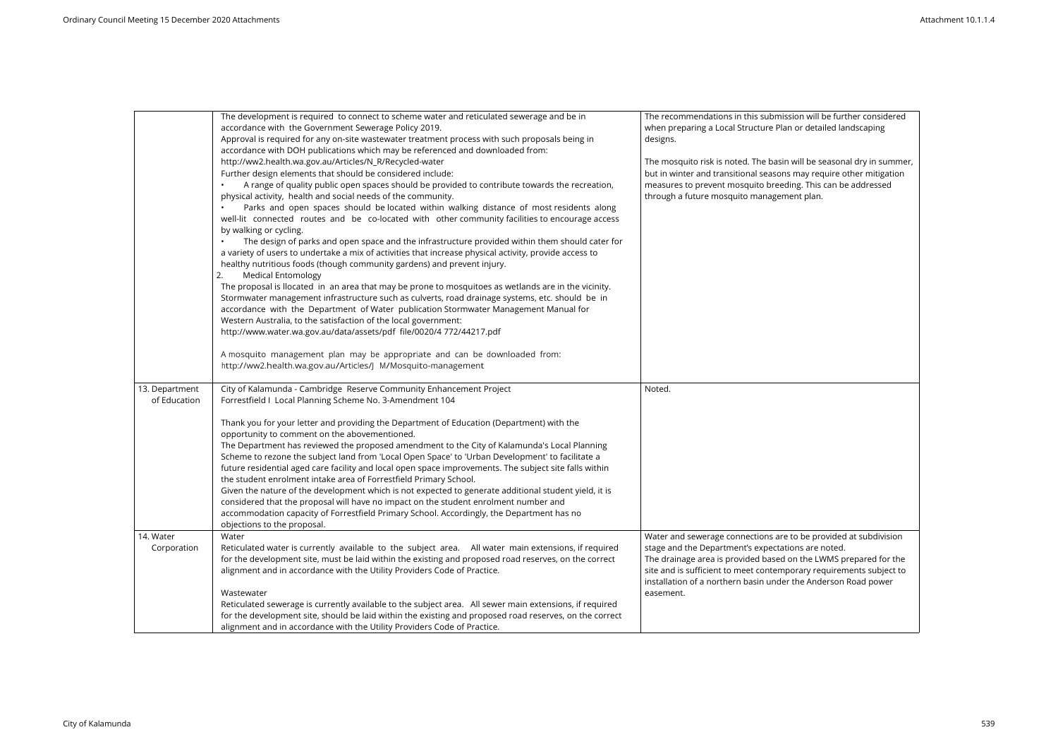|                                | The development is required to connect to scheme water and reticulated sewerage and be in<br>accordance with the Government Sewerage Policy 2019.<br>Approval is required for any on-site wastewater treatment process with such proposals being in<br>accordance with DOH publications which may be referenced and downloaded from:<br>http://ww2.health.wa.gov.au/Articles/N_R/Recycled-water<br>Further design elements that should be considered include:<br>A range of quality public open spaces should be provided to contribute towards the recreation,<br>physical activity, health and social needs of the community.<br>Parks and open spaces should be located within walking distance of most residents along<br>well-lit connected routes and be co-located with other community facilities to encourage access<br>by walking or cycling.<br>The design of parks and open space and the infrastructure provided within them should cater for<br>a variety of users to undertake a mix of activities that increase physical activity, provide access to<br>healthy nutritious foods (though community gardens) and prevent injury.<br><b>Medical Entomology</b><br>The proposal is llocated in an area that may be prone to mosquitoes as wetlands are in the vicinity.<br>Stormwater management infrastructure such as culverts, road drainage systems, etc. should be in<br>accordance with the Department of Water publication Stormwater Management Manual for<br>Western Australia, to the satisfaction of the local government:<br>http://www.water.wa.gov.au/data/assets/pdf file/0020/4 772/44217.pdf<br>A mosquito management plan may be appropriate and can be downloaded from:<br>http://ww2.health.wa.gov.au/Articles/J M/Mosquito-management | The recommendations in this submission will be further considered<br>when preparing a Local Structure Plan or detailed landscaping<br>designs.<br>The mosquito risk is noted. The basin will be seasonal dry in summe<br>but in winter and transitional seasons may require other mitigation<br>measures to prevent mosquito breeding. This can be addressed<br>through a future mosquito management plan. |
|--------------------------------|-------------------------------------------------------------------------------------------------------------------------------------------------------------------------------------------------------------------------------------------------------------------------------------------------------------------------------------------------------------------------------------------------------------------------------------------------------------------------------------------------------------------------------------------------------------------------------------------------------------------------------------------------------------------------------------------------------------------------------------------------------------------------------------------------------------------------------------------------------------------------------------------------------------------------------------------------------------------------------------------------------------------------------------------------------------------------------------------------------------------------------------------------------------------------------------------------------------------------------------------------------------------------------------------------------------------------------------------------------------------------------------------------------------------------------------------------------------------------------------------------------------------------------------------------------------------------------------------------------------------------------------------------------------------------------------------------------------------------------------------------------------------------|------------------------------------------------------------------------------------------------------------------------------------------------------------------------------------------------------------------------------------------------------------------------------------------------------------------------------------------------------------------------------------------------------------|
| 13. Department<br>of Education | City of Kalamunda - Cambridge Reserve Community Enhancement Project<br>Forrestfield I Local Planning Scheme No. 3-Amendment 104<br>Thank you for your letter and providing the Department of Education (Department) with the<br>opportunity to comment on the abovementioned.<br>The Department has reviewed the proposed amendment to the City of Kalamunda's Local Planning<br>Scheme to rezone the subject land from 'Local Open Space' to 'Urban Development' to facilitate a<br>future residential aged care facility and local open space improvements. The subject site falls within<br>the student enrolment intake area of Forrestfield Primary School.<br>Given the nature of the development which is not expected to generate additional student yield, it is<br>considered that the proposal will have no impact on the student enrolment number and<br>accommodation capacity of Forrestfield Primary School. Accordingly, the Department has no<br>objections to the proposal.                                                                                                                                                                                                                                                                                                                                                                                                                                                                                                                                                                                                                                                                                                                                                                           | Noted.                                                                                                                                                                                                                                                                                                                                                                                                     |
| 14. Water<br>Corporation       | Water<br>Reticulated water is currently available to the subject area. All water main extensions, if required<br>for the development site, must be laid within the existing and proposed road reserves, on the correct<br>alignment and in accordance with the Utility Providers Code of Practice.<br>Wastewater<br>Reticulated sewerage is currently available to the subject area. All sewer main extensions, if required<br>for the development site, should be laid within the existing and proposed road reserves, on the correct<br>alignment and in accordance with the Utility Providers Code of Practice.                                                                                                                                                                                                                                                                                                                                                                                                                                                                                                                                                                                                                                                                                                                                                                                                                                                                                                                                                                                                                                                                                                                                                      | Water and sewerage connections are to be provided at subdivision<br>stage and the Department's expectations are noted.<br>The drainage area is provided based on the LWMS prepared for the<br>site and is sufficient to meet contemporary requirements subject to<br>installation of a northern basin under the Anderson Road power<br>easement.                                                           |

In will be further considered r detailed landscaping ill be seasonal dry in summer,  $t$  plan.  $\overline{\mathbf{b}}$  be provided at subdivision is are noted. the LWMS prepared for the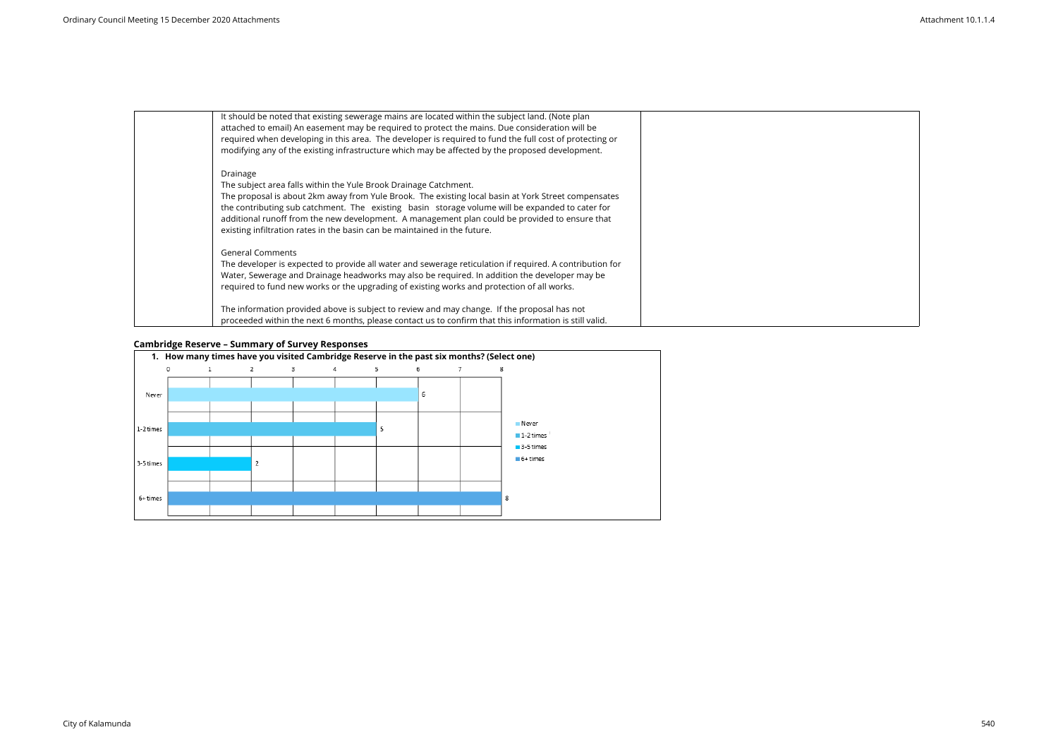| It should be noted that existing sewerage mains are located within the subject land. (Note plan<br>attached to email) An easement may be required to protect the mains. Due consideration will be<br>required when developing in this area. The developer is required to fund the full cost of protecting or<br>modifying any of the existing infrastructure which may be affected by the proposed development.                                                       |
|-----------------------------------------------------------------------------------------------------------------------------------------------------------------------------------------------------------------------------------------------------------------------------------------------------------------------------------------------------------------------------------------------------------------------------------------------------------------------|
| Drainage<br>The subject area falls within the Yule Brook Drainage Catchment.<br>The proposal is about 2km away from Yule Brook. The existing local basin at York Street compensates<br>the contributing sub catchment. The existing basin storage volume will be expanded to cater for<br>additional runoff from the new development. A management plan could be provided to ensure that<br>existing infiltration rates in the basin can be maintained in the future. |
| <b>General Comments</b><br>The developer is expected to provide all water and sewerage reticulation if required. A contribution for<br>Water, Sewerage and Drainage headworks may also be required. In addition the developer may be<br>required to fund new works or the upgrading of existing works and protection of all works.                                                                                                                                    |
| The information provided above is subject to review and may change. If the proposal has not<br>proceeded within the next 6 months, please contact us to confirm that this information is still valid.                                                                                                                                                                                                                                                                 |

# **Cambridge Reserve – Summary of Survey Responses**



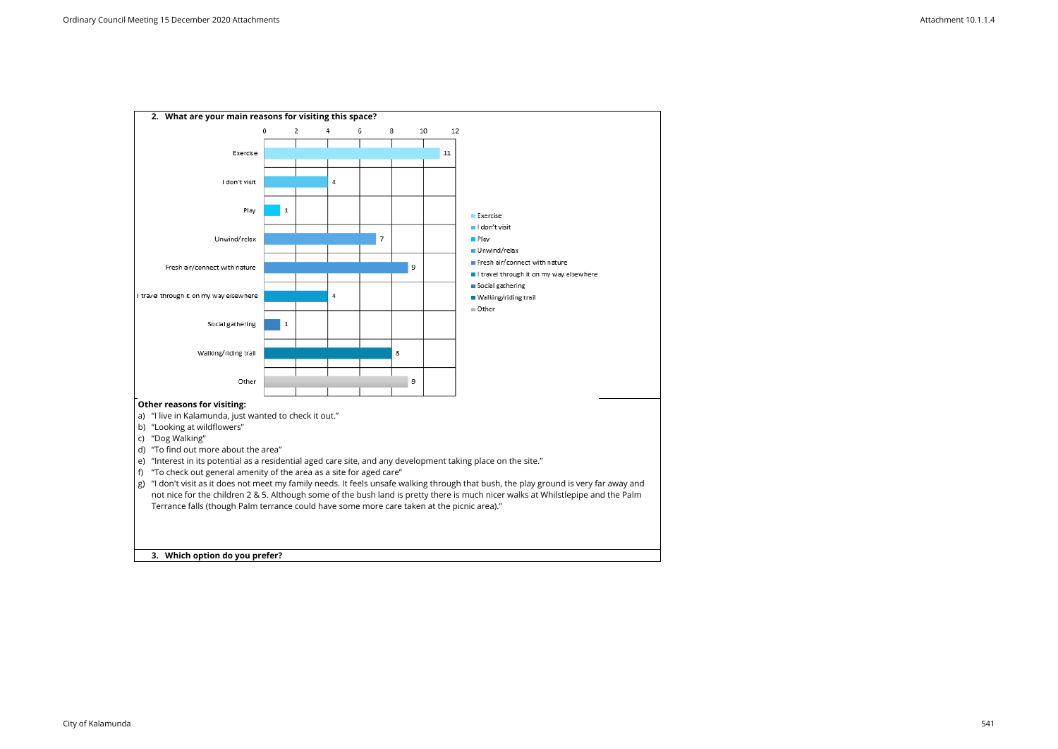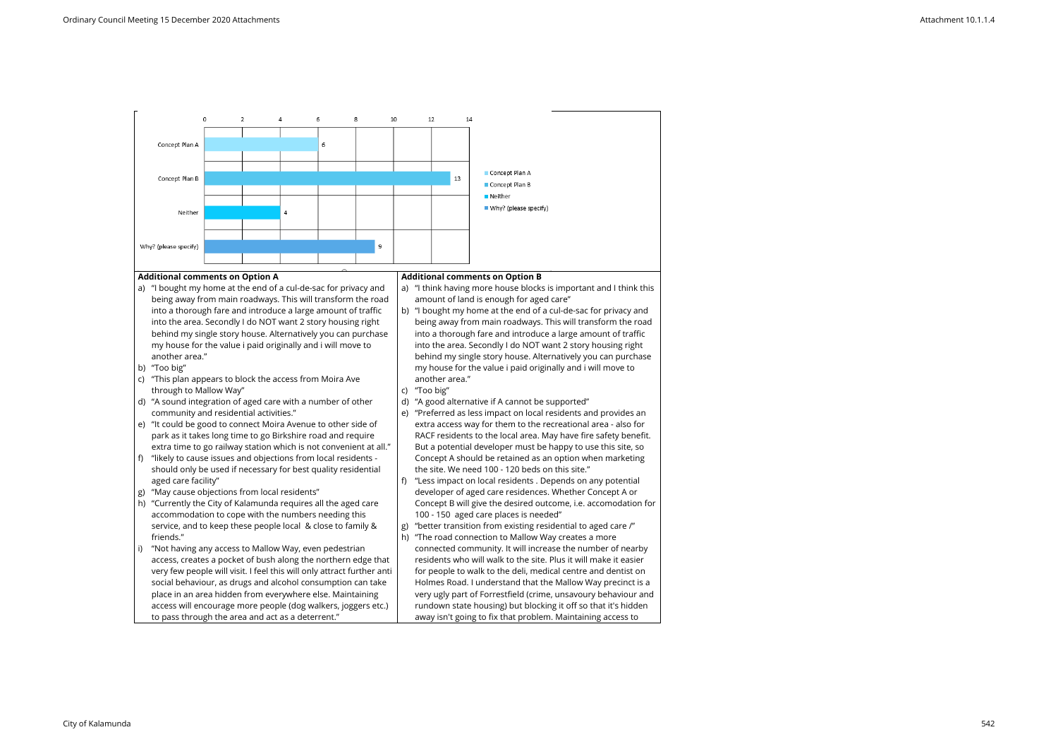#### **Additional comments on Option A**

- a) "I bought my home at the end of a cul-de-sac for privacy and being away from main roadways. This will transform the road into a thorough fare and introduce a large amount of traffic into the area. Secondly I do NOT want 2 story housing right behind my single story house. Alternatively you can purchase my house for the value i paid originally and i will move to another area."
- b) "Too big"
- c) "This plan appears to block the access from Moira Ave through to Mallow Way"
- d) "A sound integration of aged care with a number of other community and residential activities."
- e) "It could be good to connect Moira Avenue to other side of park as it takes long time to go Birkshire road and require extra time to go railway station which is not convenient at all."
- f) "likely to cause issues and objections from local residents should only be used if necessary for best quality residential aged care facility"
- g) "May cause objections from local residents"
- h) "Currently the City of Kalamunda requires all the aged care accommodation to cope with the numbers needing this service, and to keep these people local & close to family & friends."
- "Not having any access to Mallow Way, even pedestrian access, creates a pocket of bush along the northern edge that very few people will visit. I feel this will only attract further anti social behaviour, as drugs and alcohol consumption can take place in an area hidden from everywhere else. Maintaining access will encourage more people (dog walkers, joggers etc.) to pass through the area and act as a deterrent."

#### **Additional comments on Option B**

- a) "I think having more house blocks is important and I think this amount of land is enough for aged care"
- b) "I bought my home at the end of a cul-de-sac for privacy and being away from main roadways. This will transform the road into a thorough fare and introduce a large amount of traffic into the area. Secondly I do NOT want 2 story housing right behind my single story house. Alternatively you can purchase my house for the value i paid originally and i will move to another area."
- c) "Too big"
- d) "A good alternative if A cannot be supported"
- e) "Preferred as less impact on local residents and provides an extra access way for them to the recreational area - also for RACF residents to the local area. May have fire safety benefit. But a potential developer must be happy to use this site, so Concept A should be retained as an option when marketing the site. We need 100 - 120 beds on this site."
- f) "Less impact on local residents . Depends on any potential developer of aged care residences. Whether Concept A or Concept B will give the desired outcome, i.e. accomodation for 100 - 150 aged care places is needed"
- g) "better transition from existing residential to aged care /"
- h) "The road connection to Mallow Way creates a more connected community. It will increase the number of nearby residents who will walk to the site. Plus it will make it easier for people to walk to the deli, medical centre and dentist on Holmes Road. I understand that the Mallow Way precinct is a very ugly part of Forrestfield (crime, unsavoury behaviour and rundown state housing) but blocking it off so that it's hidden away isn't going to fix that problem. Maintaining access to

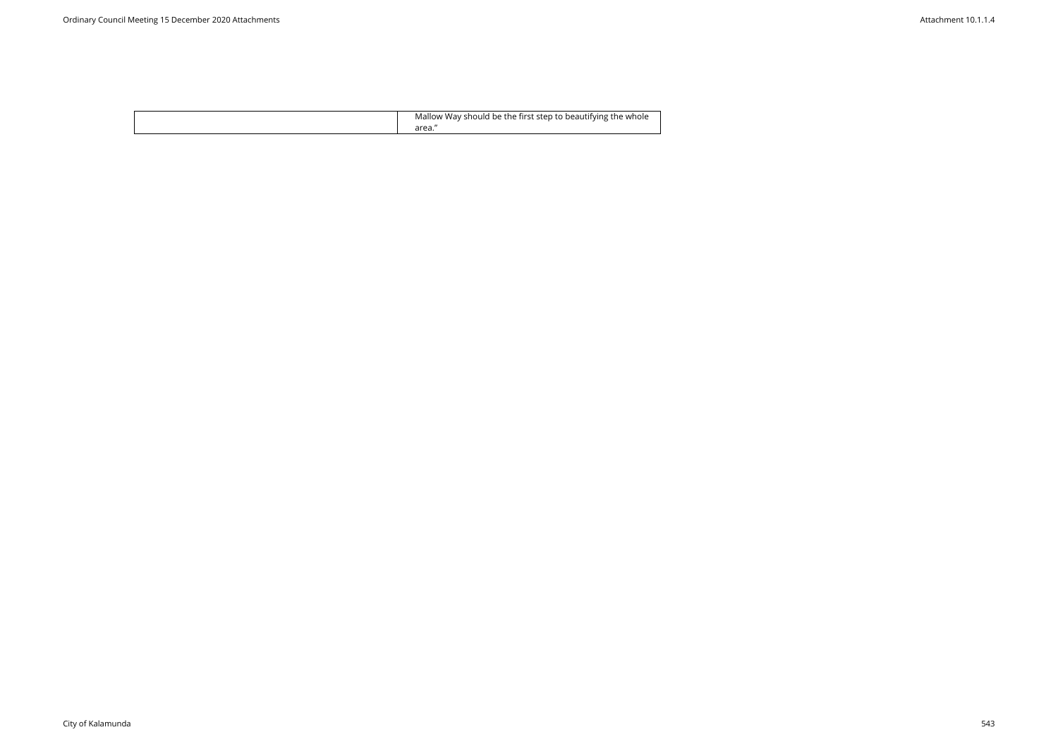| Mallow Way should be the first step to beautifying the whole |
|--------------------------------------------------------------|
|--------------------------------------------------------------|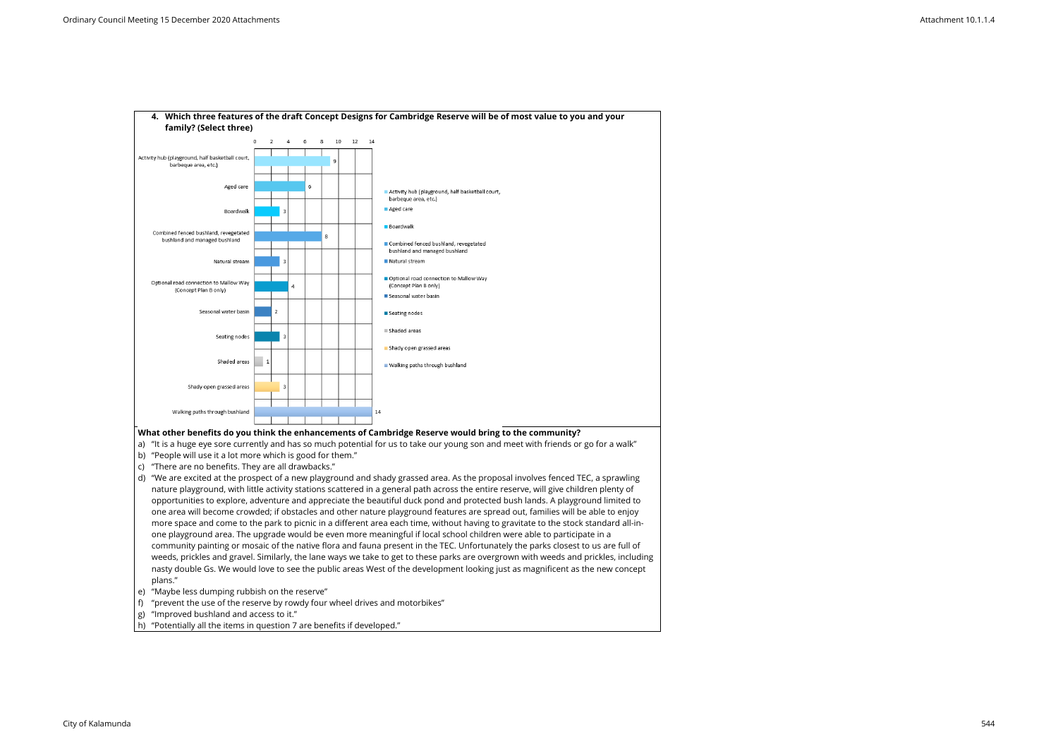

- d) "We are excited at the prospect of a new playground and shady grassed area. As the proposal involves fenced TEC, a sprawling nature playground, with little activity stations scattered in a general path across the entire reserve, will give children plenty of opportunities to explore, adventure and appreciate the beautiful duck pond and protected bush lands. A playground limited to one area will become crowded; if obstacles and other nature playground features are spread out, families will be able to enjoy more space and come to the park to picnic in a different area each time, without having to gravitate to the stock standard all-inone playground area. The upgrade would be even more meaningful if local school children were able to participate in a community painting or mosaic of the native flora and fauna present in the TEC. Unfortunately the parks closest to us are full of weeds, prickles and gravel. Similarly, the lane ways we take to get to these parks are overgrown with weeds and prickles, including nasty double Gs. We would love to see the public areas West of the development looking just as magnificent as the new concept plans."
- e) "Maybe less dumping rubbish on the reserve"
- f) "prevent the use of the reserve by rowdy four wheel drives and motorbikes"
- g) "Improved bushland and access to it."
- h) "Potentially all the items in question 7 are benefits if developed."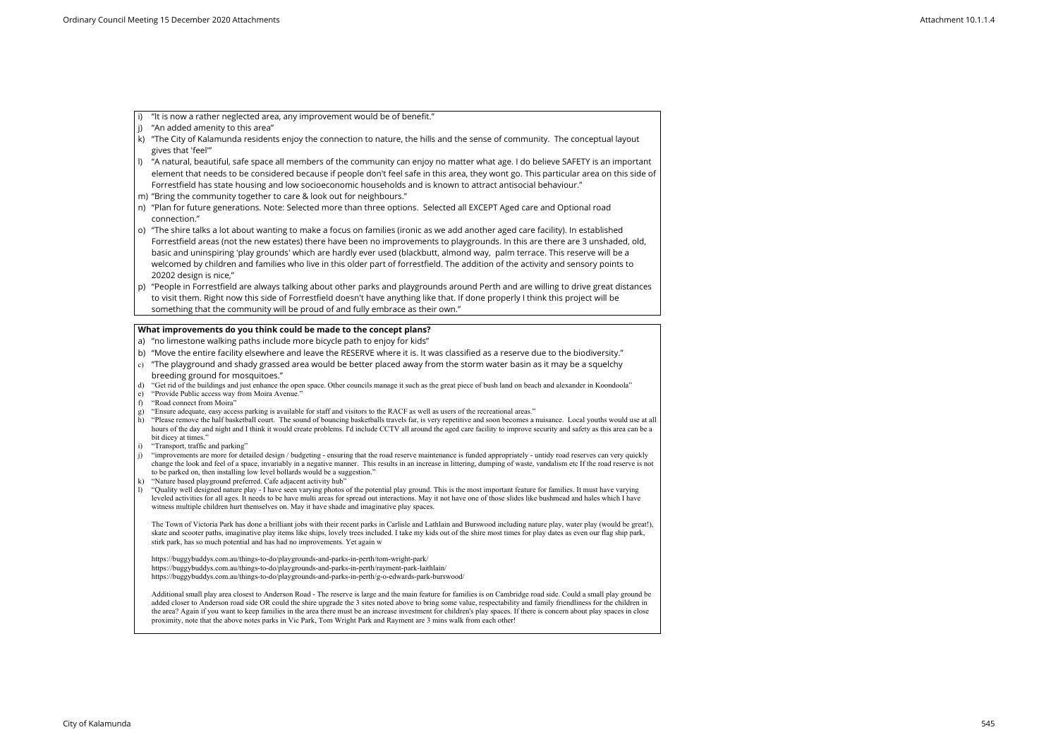- i) "It is now a rather neglected area, any improvement would be of benefit."
- $|j\rangle$  "An added amenity to this area"
- k) "The City of Kalamunda residents enjoy the connection to nature, the hills and the sense of community. The conceptual layout gives that 'feel'"
- l) "A natural, beautiful, safe space all members of the community can enjoy no matter what age. I do believe SAFETY is an important element that needs to be considered because if people don't feel safe in this area, they wont go. This particular area on this side of Forrestfield has state housing and low socioeconomic households and is known to attract antisocial behaviour."
- m) "Bring the community together to care & look out for neighbours."
- n) "Plan for future generations. Note: Selected more than three options. Selected all EXCEPT Aged care and Optional road connection."
- o) "The shire talks a lot about wanting to make a focus on families (ironic as we add another aged care facility). In established Forrestfield areas (not the new estates) there have been no improvements to playgrounds. In this are there are 3 unshaded, old, basic and uninspiring 'play grounds' which are hardly ever used (blackbutt, almond way, palm terrace. This reserve will be a welcomed by children and families who live in this older part of forrestfield. The addition of the activity and sensory points to 20202 design is nice,"
- p) "People in Forrestfield are always talking about other parks and playgrounds around Perth and are willing to drive great distances to visit them. Right now this side of Forrestfield doesn't have anything like that. If done properly I think this project will be something that the community will be proud of and fully embrace as their own."

- a) "no limestone walking paths include more bicycle path to enjoy for kids"
- b) "Move the entire facility elsewhere and leave the RESERVE where it is. It was classified as a reserve due to the biodiversity."
- $\mid$   $\rm c)$  "The playground and shady grassed area would be better placed away from the storm water basin as it may be a squelchy breeding ground for mosquitoes."
- d) "Get rid of the buildings and just enhance the open space. Other councils manage it such as the great piece of bush land on beach and alexander in Koondoola"
- e) "Provide Public access way from Moira Avenue."
- f) "Road connect from Moira"
- g) "Ensure adequate, easy access parking is available for staff and visitors to the RACF as well as users of the recreational areas."
- h) "Please remove the half basketball court. The sound of bouncing basketballs travels far, is very repetitive and soon becomes a nuisance. Local youths would use at all hours of the day and night and I think it would create problems. I'd include CCTV all around the aged care facility to improve security and safety as this area can be a bit dicey at times."
- i) "Transport, traffic and parking"
- j) "improvements are more for detailed design / budgeting ensuring that the road reserve maintenance is funded appropriately untidy road reserves can very quickly change the look and feel of a space, invariably in a negative manner. This results in an increase in littering, dumping of waste, vandalism etc If the road reserve is not to be parked on, then installing low level bollards would be a suggestion."
- k) "Nature based playground preferred. Cafe adjacent activity hub"
- l) "Quality well designed nature play I have seen varying photos of the potential play ground. This is the most important feature for families. It must have varying leveled activities for all ages. It needs to be have multi areas for spread out interactions. May it not have one of those slides like bushmead and hales which I have witness multiple children hurt themselves on. May it have shade and imaginative play spaces.

### **What improvements do you think could be made to the concept plans?**

Additional small play area closest to Anderson Road - The reserve is large and the main feature for families is on Cambridge road side. Could a small play ground be added closer to Anderson road side OR could the shire upgrade the 3 sites noted above to bring some value, respectability and family friendliness for the children in the area? Again if you want to keep families in the area there must be an increase investment for children's play spaces. If there is concern about play spaces in close proximity, note that the above notes parks in Vic Park, Tom Wright Park and Rayment are 3 mins walk from each other!

The Town of Victoria Park has done a brilliant jobs with their recent parks in Carlisle and Lathlain and Burswood including nature play, water play (would be great!), skate and scooter paths, imaginative play items like ships, lovely trees included. I take my kids out of the shire most times for play dates as even our flag ship park, stirk park, has so much potential and has had no improvements. Yet again w

https://buggybuddys.com.au/things-to-do/playgrounds-and-parks-in-perth/tom-wright-park/ https://buggybuddys.com.au/things-to-do/playgrounds-and-parks-in-perth/rayment-park-laithlain/ https://buggybuddys.com.au/things-to-do/playgrounds-and-parks-in-perth/g-o-edwards-park-burswood/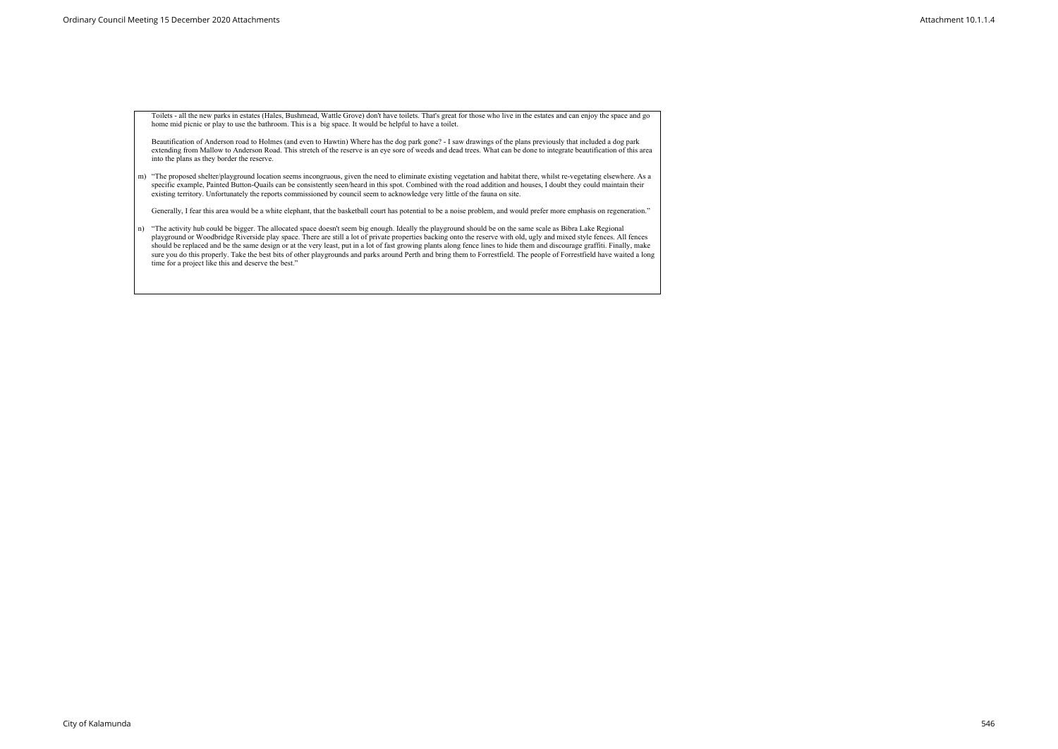Toilets - all the new parks in estates (Hales, Bushmead, Wattle Grove) don't have toilets. That's great for those who live in the estates and can enjoy the space and go home mid picnic or play to use the bathroom. This is a big space. It would be helpful to have a toilet.

Beautification of Anderson road to Holmes (and even to Hawtin) Where has the dog park gone? - I saw drawings of the plans previously that included a dog park extending from Mallow to Anderson Road. This stretch of the reserve is an eye sore of weeds and dead trees. What can be done to integrate beautification of this area into the plans as they border the reserve.

m) "The proposed shelter/playground location seems incongruous, given the need to eliminate existing vegetation and habitat there, whilst re-vegetating elsewhere. As a specific example, Painted Button-Quails can be consistently seen/heard in this spot. Combined with the road addition and houses, I doubt they could maintain their existing territory. Unfortunately the reports commissioned by council seem to acknowledge very little of the fauna on site.

Generally, I fear this area would be a white elephant, that the basketball court has potential to be a noise problem, and would prefer more emphasis on regeneration."

n) "The activity hub could be bigger. The allocated space doesn't seem big enough. Ideally the playground should be on the same scale as Bibra Lake Regional playground or Woodbridge Riverside play space. There are still a lot of private properties backing onto the reserve with old, ugly and mixed style fences. All fences should be replaced and be the same design or at the very least, put in a lot of fast growing plants along fence lines to hide them and discourage graffiti. Finally, make sure you do this properly. Take the best bits of other playgrounds and parks around Perth and bring them to Forrestfield. The people of Forrestfield have waited a long time for a project like this and deserve the best."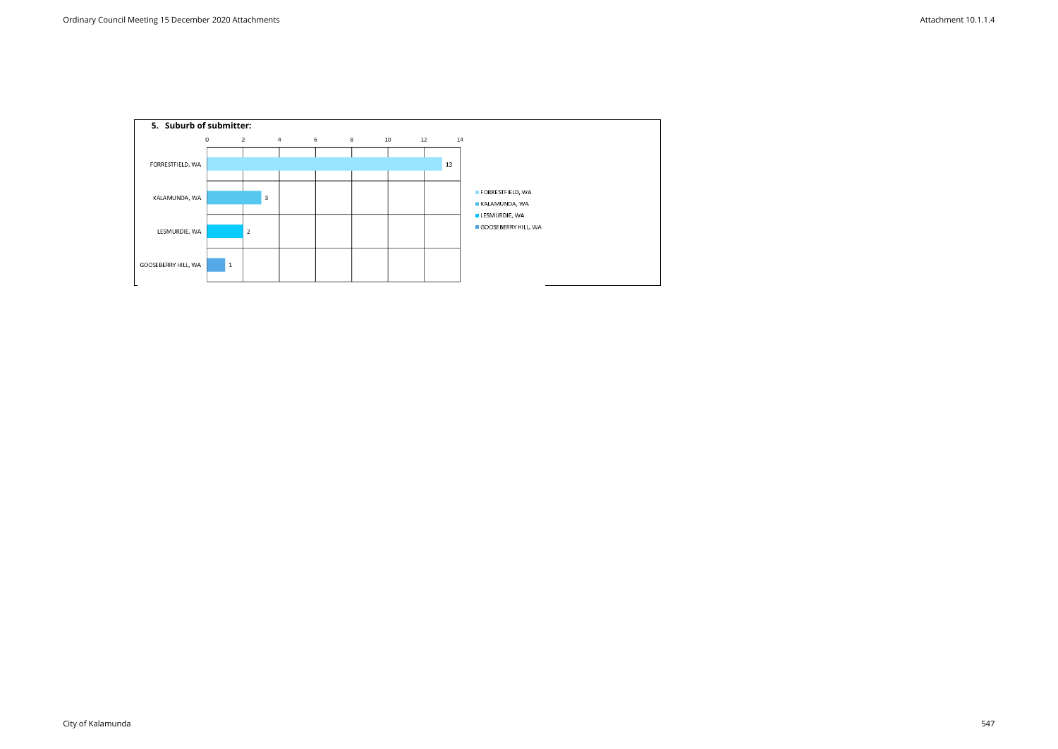